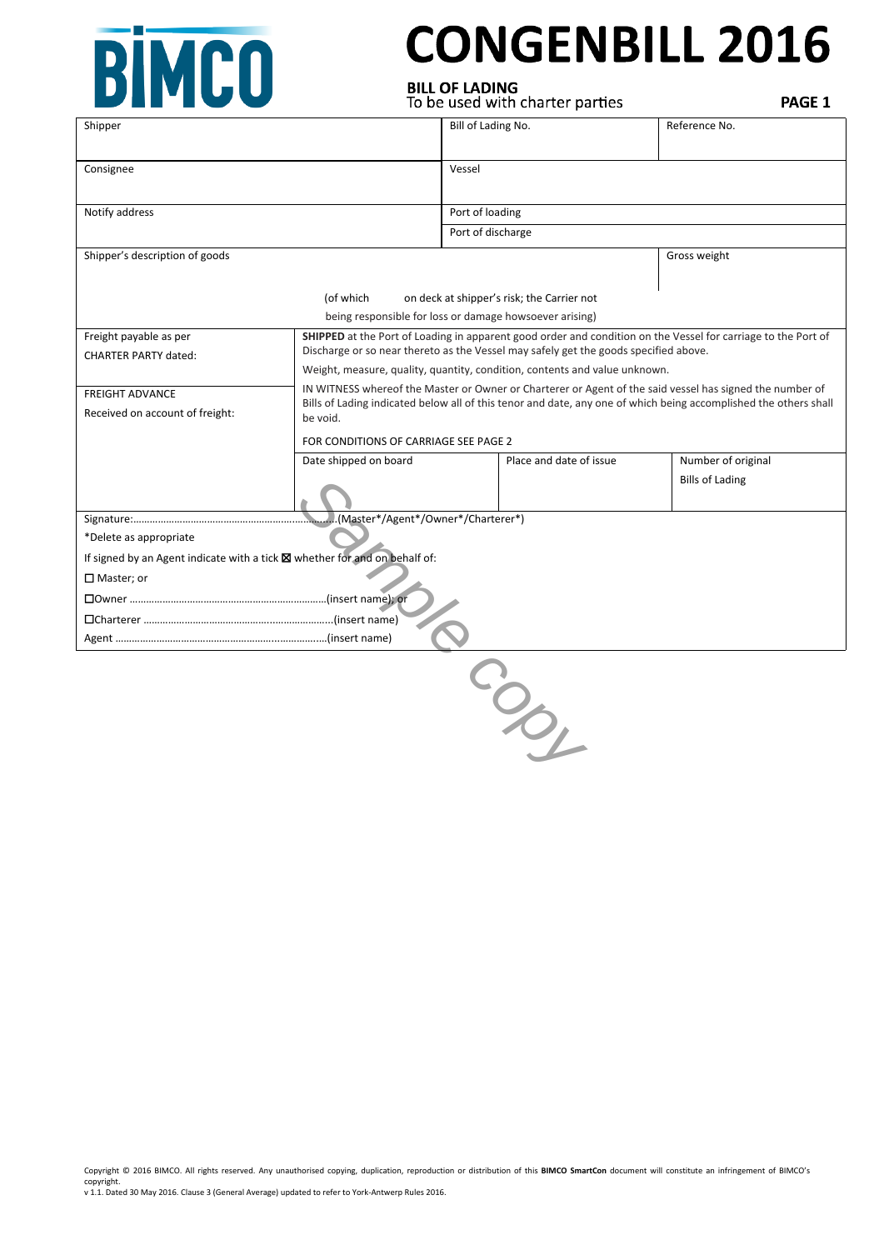

# **CONGENBILL 2016**

**BILL OF LADING**<br>To be used with charter parties

PAGE 1

| Shipper                                                                    |                                                                                                                                                                                                                              | Bill of Lading No.                                      |                                            | Reference No.          |  |
|----------------------------------------------------------------------------|------------------------------------------------------------------------------------------------------------------------------------------------------------------------------------------------------------------------------|---------------------------------------------------------|--------------------------------------------|------------------------|--|
|                                                                            |                                                                                                                                                                                                                              |                                                         |                                            |                        |  |
| Consignee                                                                  |                                                                                                                                                                                                                              | Vessel                                                  |                                            |                        |  |
|                                                                            |                                                                                                                                                                                                                              |                                                         |                                            |                        |  |
| Notify address                                                             |                                                                                                                                                                                                                              | Port of loading                                         |                                            |                        |  |
|                                                                            |                                                                                                                                                                                                                              | Port of discharge                                       |                                            |                        |  |
| Shipper's description of goods                                             |                                                                                                                                                                                                                              | Gross weight                                            |                                            |                        |  |
|                                                                            |                                                                                                                                                                                                                              |                                                         |                                            |                        |  |
| (of which                                                                  |                                                                                                                                                                                                                              |                                                         | on deck at shipper's risk; the Carrier not |                        |  |
|                                                                            |                                                                                                                                                                                                                              | being responsible for loss or damage howsoever arising) |                                            |                        |  |
| Freight payable as per                                                     | SHIPPED at the Port of Loading in apparent good order and condition on the Vessel for carriage to the Port of                                                                                                                |                                                         |                                            |                        |  |
| <b>CHARTER PARTY dated:</b>                                                | Discharge or so near thereto as the Vessel may safely get the goods specified above.                                                                                                                                         |                                                         |                                            |                        |  |
|                                                                            | Weight, measure, quality, quantity, condition, contents and value unknown.                                                                                                                                                   |                                                         |                                            |                        |  |
| <b>FREIGHT ADVANCE</b>                                                     | IN WITNESS whereof the Master or Owner or Charterer or Agent of the said vessel has signed the number of<br>Bills of Lading indicated below all of this tenor and date, any one of which being accomplished the others shall |                                                         |                                            |                        |  |
| Received on account of freight:                                            | be void.                                                                                                                                                                                                                     |                                                         |                                            |                        |  |
|                                                                            | FOR CONDITIONS OF CARRIAGE SEE PAGE 2                                                                                                                                                                                        |                                                         |                                            |                        |  |
|                                                                            | Date shipped on board                                                                                                                                                                                                        |                                                         | Place and date of issue                    | Number of original     |  |
|                                                                            |                                                                                                                                                                                                                              |                                                         |                                            | <b>Bills of Lading</b> |  |
|                                                                            |                                                                                                                                                                                                                              |                                                         |                                            |                        |  |
| (Master*/Agent*/Owner*/Charterer*)                                         |                                                                                                                                                                                                                              |                                                         |                                            |                        |  |
| *Delete as appropriate                                                     |                                                                                                                                                                                                                              |                                                         |                                            |                        |  |
| If signed by an Agent indicate with a tick X whether for and on behalf of: |                                                                                                                                                                                                                              |                                                         |                                            |                        |  |
| $\Box$ Master; or                                                          |                                                                                                                                                                                                                              |                                                         |                                            |                        |  |
|                                                                            |                                                                                                                                                                                                                              |                                                         |                                            |                        |  |
|                                                                            |                                                                                                                                                                                                                              |                                                         |                                            |                        |  |
|                                                                            |                                                                                                                                                                                                                              |                                                         |                                            |                        |  |
|                                                                            |                                                                                                                                                                                                                              |                                                         |                                            |                        |  |
|                                                                            |                                                                                                                                                                                                                              |                                                         |                                            |                        |  |
|                                                                            |                                                                                                                                                                                                                              |                                                         |                                            |                        |  |
|                                                                            |                                                                                                                                                                                                                              |                                                         |                                            |                        |  |
| COND                                                                       |                                                                                                                                                                                                                              |                                                         |                                            |                        |  |
|                                                                            |                                                                                                                                                                                                                              |                                                         |                                            |                        |  |